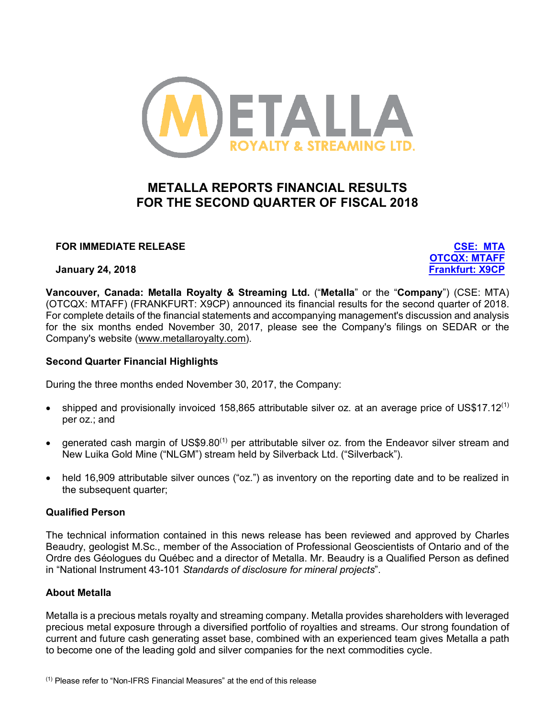

# **METALLA REPORTS FINANCIAL RESULTS FOR THE SECOND QUARTER OF FISCAL 2018**

### **FOR IMMEDIATE RELEASE CSE: MTA**

**January 24, 2018 Frankfurt: X9CP**

**OTCQX: MTAFF**

**Vancouver, Canada: Metalla Royalty & Streaming Ltd.** ("**Metalla**" or the "**Company**") (CSE: MTA) (OTCQX: MTAFF) (FRANKFURT: X9CP) announced its financial results for the second quarter of 2018. For complete details of the financial statements and accompanying management's discussion and analysis for the six months ended November 30, 2017, please see the Company's filings on SEDAR or the Company's website (www.metallaroyalty.com).

## **Second Quarter Financial Highlights**

During the three months ended November 30, 2017, the Company:

- shipped and provisionally invoiced 158,865 attributable silver oz. at an average price of US\$17.12<sup>(1)</sup> per oz.; and
- generated cash margin of US\$9.80<sup>(1)</sup> per attributable silver oz. from the Endeavor silver stream and New Luika Gold Mine ("NLGM") stream held by Silverback Ltd. ("Silverback").
- held 16,909 attributable silver ounces ("oz.") as inventory on the reporting date and to be realized in the subsequent quarter;

#### **Qualified Person**

The technical information contained in this news release has been reviewed and approved by Charles Beaudry, geologist M.Sc., member of the Association of Professional Geoscientists of Ontario and of the Ordre des Géologues du Québec and a director of Metalla. Mr. Beaudry is a Qualified Person as defined in "National Instrument 43-101 *Standards of disclosure for mineral projects*".

#### **About Metalla**

Metalla is a precious metals royalty and streaming company. Metalla provides shareholders with leveraged precious metal exposure through a diversified portfolio of royalties and streams. Our strong foundation of current and future cash generating asset base, combined with an experienced team gives Metalla a path to become one of the leading gold and silver companies for the next commodities cycle.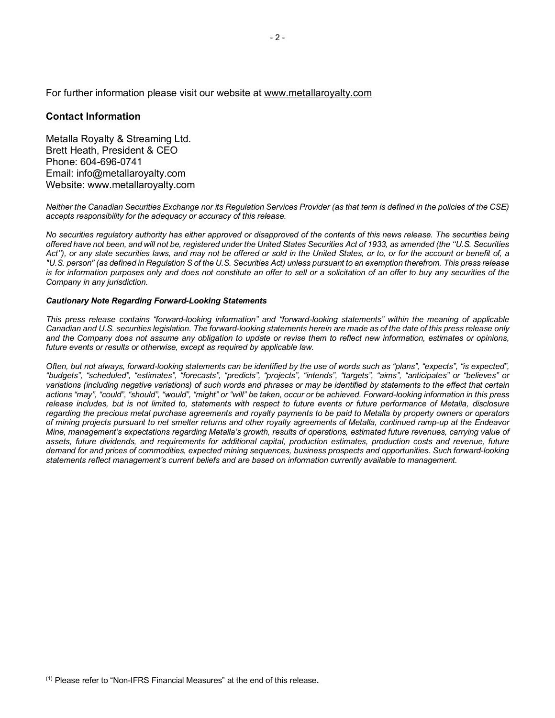#### **Contact Information**

Metalla Royalty & Streaming Ltd. Brett Heath, President & CEO Phone: 604-696-0741 Email: info@metallaroyalty.com Website: www.metallaroyalty.com

*Neither the Canadian Securities Exchange nor its Regulation Services Provider (as that term is defined in the policies of the CSE) accepts responsibility for the adequacy or accuracy of this release.*

*No securities regulatory authority has either approved or disapproved of the contents of this news release. The securities being offered have not been, and will not be, registered under the United States Securities Act of 1933, as amended (the ''U.S. Securities Act''), or any state securities laws, and may not be offered or sold in the United States, or to, or for the account or benefit of, a "U.S. person" (as defined in Regulation S of the U.S. Securities Act) unless pursuant to an exemption therefrom. This press release*  is for information purposes only and does not constitute an offer to sell or a solicitation of an offer to buy any securities of the *Company in any jurisdiction.*

#### *Cautionary Note Regarding Forward-Looking Statements*

*This press release contains "forward-looking information" and "forward-looking statements" within the meaning of applicable Canadian and U.S. securities legislation. The forward-looking statements herein are made as of the date of this press release only and the Company does not assume any obligation to update or revise them to reflect new information, estimates or opinions, future events or results or otherwise, except as required by applicable law.* 

*Often, but not always, forward-looking statements can be identified by the use of words such as "plans", "expects", "is expected", "budgets", "scheduled", "estimates", "forecasts", "predicts", "projects", "intends", "targets", "aims", "anticipates" or "believes" or variations (including negative variations) of such words and phrases or may be identified by statements to the effect that certain actions "may", "could", "should", "would", "might" or "will" be taken, occur or be achieved. Forward-looking information in this press release includes, but is not limited to, statements with respect to future events or future performance of Metalla, disclosure regarding the precious metal purchase agreements and royalty payments to be paid to Metalla by property owners or operators of mining projects pursuant to net smelter returns and other royalty agreements of Metalla, continued ramp-up at the Endeavor Mine, management's expectations regarding Metalla's growth, results of operations, estimated future revenues, carrying value of assets, future dividends, and requirements for additional capital, production estimates, production costs and revenue, future demand for and prices of commodities, expected mining sequences, business prospects and opportunities. Such forward-looking statements reflect management's current beliefs and are based on information currently available to management.*